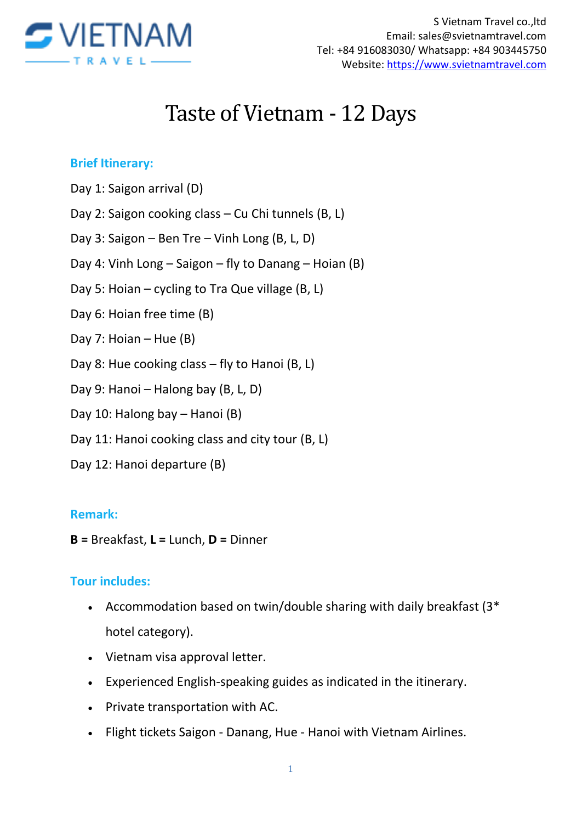

# Taste of Vietnam - 12 Days

#### **Brief Itinerary:**

- Day 1: Saigon arrival (D)
- Day 2: Saigon cooking class Cu Chi tunnels (B, L)
- Day 3: Saigon Ben Tre Vinh Long (B, L, D)
- Day 4: Vinh Long Saigon fly to Danang Hoian (B)
- Day 5: Hoian cycling to Tra Que village (B, L)
- Day 6: Hoian free time (B)
- Day 7: Hoian Hue (B)
- Day 8: Hue cooking class fly to Hanoi (B, L)
- Day 9: Hanoi Halong bay (B, L, D)
- Day 10: Halong bay Hanoi (B)
- Day 11: Hanoi cooking class and city tour (B, L)
- Day 12: Hanoi departure (B)

#### **Remark:**

**B =** Breakfast, **L =** Lunch, **D =** Dinner

#### **Tour includes:**

- Accommodation based on twin/double sharing with daily breakfast (3\* hotel category).
- Vietnam visa approval letter.
- Experienced English-speaking guides as indicated in the itinerary.
- Private transportation with AC.
- Flight tickets Saigon Danang, Hue Hanoi with Vietnam Airlines.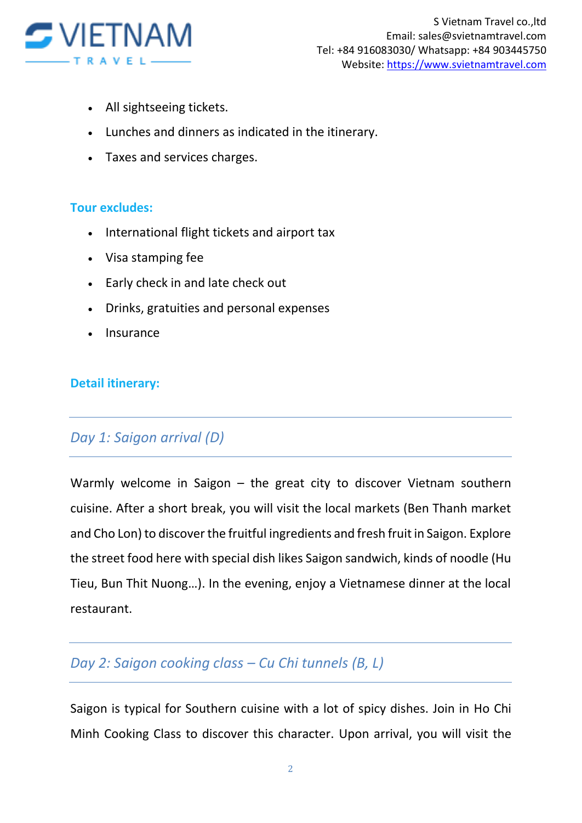

- All sightseeing tickets.
- Lunches and dinners as indicated in the itinerary.
- Taxes and services charges.

#### **Tour excludes:**

- International flight tickets and airport tax
- Visa stamping fee
- Early check in and late check out
- Drinks, gratuities and personal expenses
- Insurance

#### **Detail itinerary:**

#### *Day 1: Saigon arrival (D)*

Warmly welcome in Saigon – the great city to discover Vietnam southern cuisine. After a short break, you will visit the local markets (Ben Thanh market and Cho Lon) to discover the fruitful ingredients and fresh fruit in Saigon. Explore the street food here with special dish likes Saigon sandwich, kinds of noodle (Hu Tieu, Bun Thit Nuong…). In the evening, enjoy a Vietnamese dinner at the local restaurant.

## *Day 2: Saigon cooking class – Cu Chi tunnels (B, L)*

Saigon is typical for Southern cuisine with a lot of spicy dishes. Join in Ho Chi Minh Cooking Class to discover this character. Upon arrival, you will visit the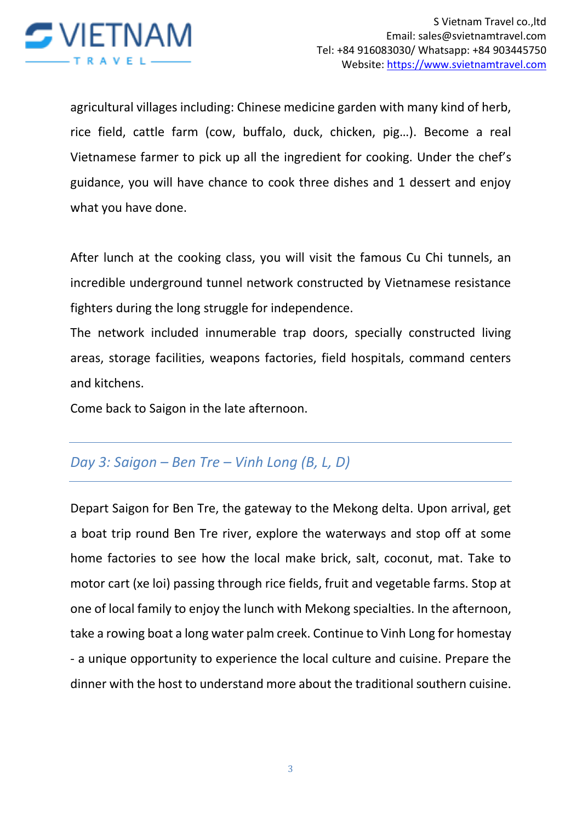

agricultural villages including: Chinese medicine garden with many kind of herb, rice field, cattle farm (cow, buffalo, duck, chicken, pig…). Become a real Vietnamese farmer to pick up all the ingredient for cooking. Under the chef's guidance, you will have chance to cook three dishes and 1 dessert and enjoy what you have done.

After lunch at the cooking class, you will visit the famous Cu Chi tunnels, an incredible underground tunnel network constructed by Vietnamese resistance fighters during the long struggle for independence.

The network included innumerable trap doors, specially constructed living areas, storage facilities, weapons factories, field hospitals, command centers and kitchens.

Come back to Saigon in the late afternoon.

## *Day 3: Saigon – Ben Tre – Vinh Long (B, L, D)*

Depart Saigon for Ben Tre, the gateway to the Mekong delta. Upon arrival, get a boat trip round Ben Tre river, explore the waterways and stop off at some home factories to see how the local make brick, salt, coconut, mat. Take to motor cart (xe loi) passing through rice fields, fruit and vegetable farms. Stop at one of local family to enjoy the lunch with Mekong specialties. In the afternoon, take a rowing boat a long water palm creek. Continue to Vinh Long for homestay - a unique opportunity to experience the local culture and cuisine. Prepare the dinner with the host to understand more about the traditional southern cuisine.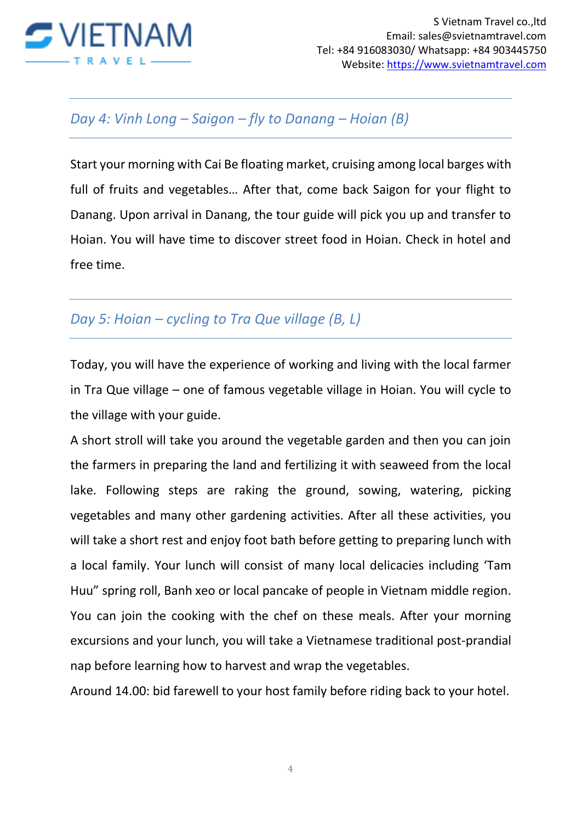

#### *Day 4: Vinh Long – Saigon – fly to Danang – Hoian (B)*

Start your morning with Cai Be floating market, cruising among local barges with full of fruits and vegetables… After that, come back Saigon for your flight to Danang. Upon arrival in Danang, the tour guide will pick you up and transfer to Hoian. You will have time to discover street food in Hoian. Check in hotel and free time.

# *Day 5: Hoian – cycling to Tra Que village (B, L)*

Today, you will have the experience of working and living with the local farmer in Tra Que village – one of famous vegetable village in Hoian. You will cycle to the village with your guide.

A short stroll will take you around the vegetable garden and then you can join the farmers in preparing the land and fertilizing it with seaweed from the local lake. Following steps are raking the ground, sowing, watering, picking vegetables and many other gardening activities. After all these activities, you will take a short rest and enjoy foot bath before getting to preparing lunch with a local family. Your lunch will consist of many local delicacies including 'Tam Huu" spring roll, Banh xeo or local pancake of people in Vietnam middle region. You can join the cooking with the chef on these meals. After your morning excursions and your lunch, you will take a Vietnamese traditional post-prandial nap before learning how to harvest and wrap the vegetables.

Around 14.00: bid farewell to your host family before riding back to your hotel.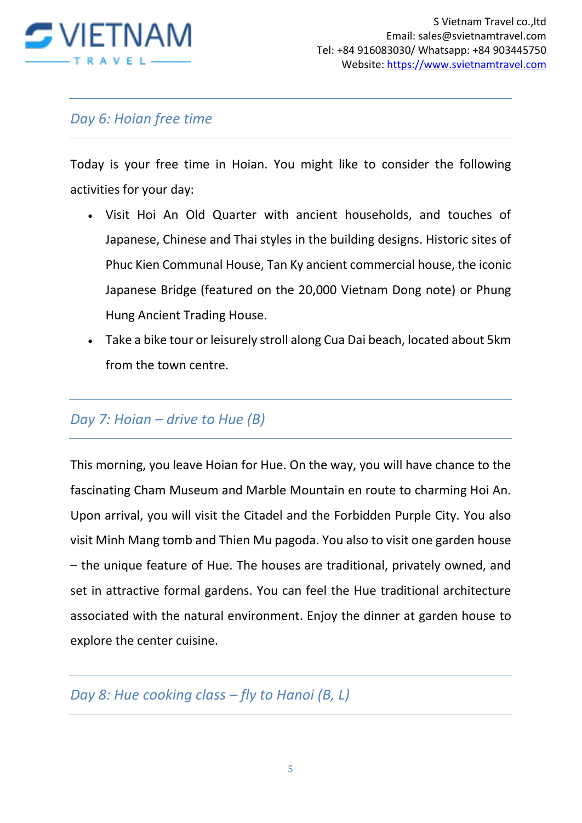

## *Day 6: Hoian free time*

Today is your free time in Hoian. You might like to consider the following activities for your day:

- Visit Hoi An Old Quarter with ancient households, and touches of Japanese, Chinese and Thai styles in the building designs. Historic sites of Phuc Kien Communal House, Tan Ky ancient commercial house, the iconic Japanese Bridge (featured on the 20,000 Vietnam Dong note) or Phung Hung Ancient Trading House.
- Take a bike tour or leisurely stroll along Cua Dai beach, located about 5km from the town centre.

## *Day 7: Hoian – drive to Hue (B)*

This morning, you leave Hoian for Hue. On the way, you will have chance to the fascinating Cham Museum and Marble Mountain en route to charming Hoi An. Upon arrival, you will visit the Citadel and the Forbidden Purple City. You also visit Minh Mang tomb and Thien Mu pagoda. You also to visit one garden house – the unique feature of Hue. The houses are traditional, privately owned, and set in attractive formal gardens. You can feel the Hue traditional architecture associated with the natural environment. Enjoy the dinner at garden house to explore the center cuisine.

*Day 8: Hue cooking class – fly to Hanoi (B, L)*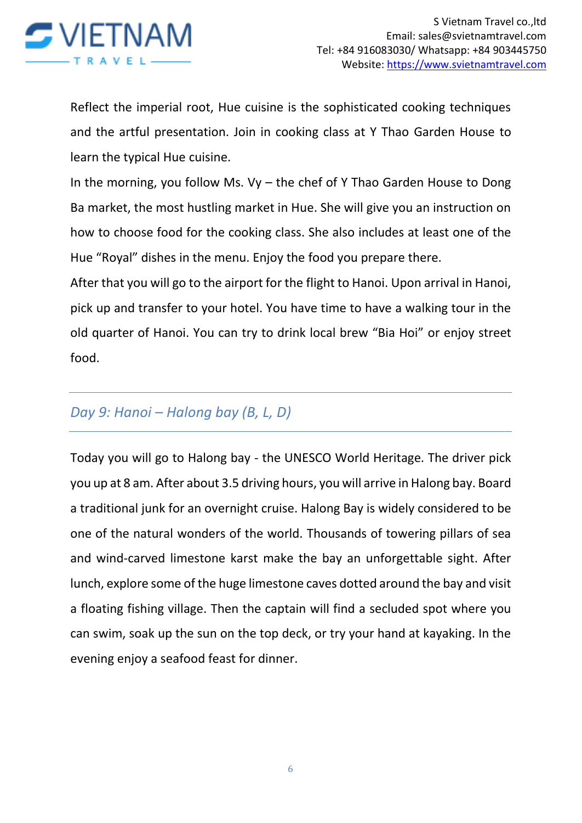

Reflect the imperial root, Hue cuisine is the sophisticated cooking techniques and the artful presentation. Join in cooking class at Y Thao Garden House to learn the typical Hue cuisine.

In the morning, you follow Ms. Vy – the chef of Y Thao Garden House to Dong Ba market, the most hustling market in Hue. She will give you an instruction on how to choose food for the cooking class. She also includes at least one of the Hue "Royal" dishes in the menu. Enjoy the food you prepare there.

After that you will go to the airport for the flight to Hanoi. Upon arrival in Hanoi, pick up and transfer to your hotel. You have time to have a walking tour in the old quarter of Hanoi. You can try to drink local brew "Bia Hoi" or enjoy street food.

## *Day 9: Hanoi – Halong bay (B, L, D)*

Today you will go to Halong bay - the UNESCO World Heritage. The driver pick you up at 8 am. After about 3.5 driving hours, you will arrive in Halong bay. Board a traditional junk for an overnight cruise. Halong Bay is widely considered to be one of the natural wonders of the world. Thousands of towering pillars of sea and wind-carved limestone karst make the bay an unforgettable sight. After lunch, explore some of the huge limestone caves dotted around the bay and visit a floating fishing village. Then the captain will find a secluded spot where you can swim, soak up the sun on the top deck, or try your hand at kayaking. In the evening enjoy a seafood feast for dinner.